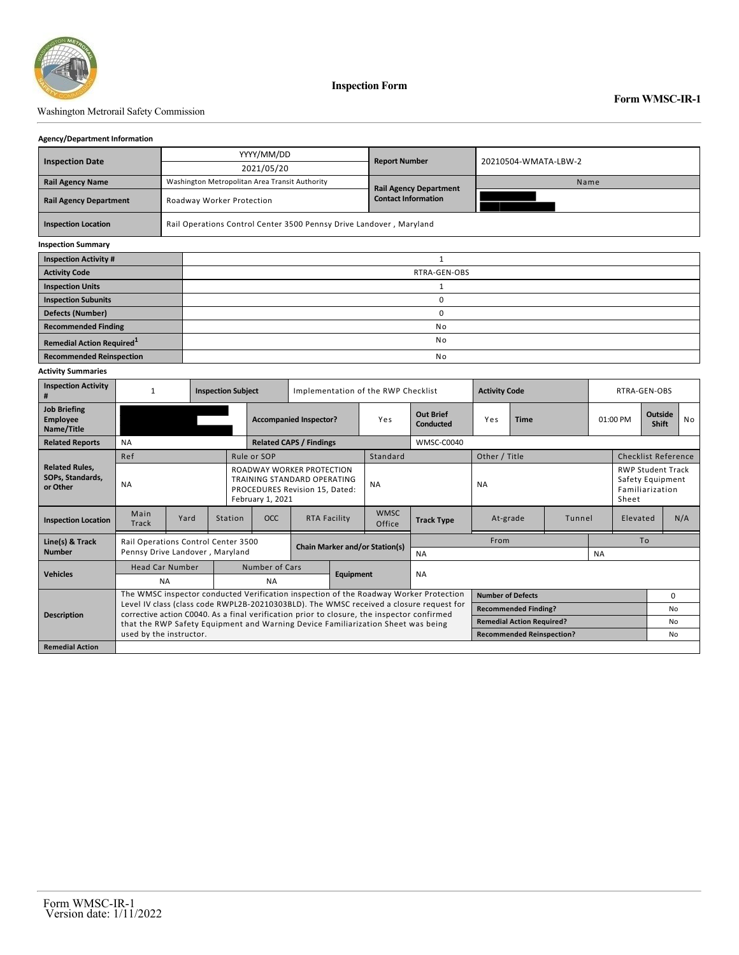

**Inspection Form**

## Washington Metrorail Safety Commission

#### **Agency/Department Information**

|                                       |  | YYYY/MM/DD                                                          | <b>Report Number</b>          | 20210504-WMATA-LBW-2 |  |  |  |  |  |
|---------------------------------------|--|---------------------------------------------------------------------|-------------------------------|----------------------|--|--|--|--|--|
| <b>Inspection Date</b>                |  | 2021/05/20                                                          |                               |                      |  |  |  |  |  |
| <b>Rail Agency Name</b>               |  | Washington Metropolitan Area Transit Authority                      | <b>Rail Agency Department</b> | Name                 |  |  |  |  |  |
| <b>Rail Agency Department</b>         |  | Roadway Worker Protection                                           | <b>Contact Information</b>    |                      |  |  |  |  |  |
| <b>Inspection Location</b>            |  | Rail Operations Control Center 3500 Pennsy Drive Landover, Maryland |                               |                      |  |  |  |  |  |
| <b>Inspection Summary</b>             |  |                                                                     |                               |                      |  |  |  |  |  |
| <b>Inspection Activity #</b>          |  |                                                                     |                               |                      |  |  |  |  |  |
| <b>Activity Code</b>                  |  | RTRA-GEN-OBS                                                        |                               |                      |  |  |  |  |  |
| <b>Inspection Units</b>               |  |                                                                     |                               |                      |  |  |  |  |  |
| <b>Inspection Subunits</b>            |  | 0                                                                   |                               |                      |  |  |  |  |  |
| <b>Defects (Number)</b>               |  | 0                                                                   |                               |                      |  |  |  |  |  |
| <b>Recommended Finding</b>            |  |                                                                     |                               | No                   |  |  |  |  |  |
| Remedial Action Required <sup>1</sup> |  | No                                                                  |                               |                      |  |  |  |  |  |
| <b>Recommended Reinspection</b>       |  | No                                                                  |                               |                      |  |  |  |  |  |

#### **Activity Summaries**

| <b>Inspection Activity</b>                            | <b>Inspection Subject</b>                                                                                                                                                                                                                                                 |      |         |                                                                                                                       | Implementation of the RWP Checklist |                  |                       |                                  | <b>Activity Code</b> |                                  | RTRA-GEN-OBS |          |                                                                          |                                |                |
|-------------------------------------------------------|---------------------------------------------------------------------------------------------------------------------------------------------------------------------------------------------------------------------------------------------------------------------------|------|---------|-----------------------------------------------------------------------------------------------------------------------|-------------------------------------|------------------|-----------------------|----------------------------------|----------------------|----------------------------------|--------------|----------|--------------------------------------------------------------------------|--------------------------------|----------------|
| <b>Job Briefing</b><br><b>Employee</b><br>Name/Title  |                                                                                                                                                                                                                                                                           |      |         | <b>Accompanied Inspector?</b>                                                                                         |                                     |                  | Yes                   | <b>Out Brief</b><br>Conducted    | Yes                  | <b>Time</b>                      |              | 01:00 PM |                                                                          | <b>Outside</b><br><b>Shift</b> | <b>No</b>      |
| <b>Related Reports</b>                                | <b>NA</b>                                                                                                                                                                                                                                                                 |      |         | <b>Related CAPS / Findings</b>                                                                                        |                                     |                  |                       | WMSC-C0040                       |                      |                                  |              |          |                                                                          |                                |                |
|                                                       | Ref                                                                                                                                                                                                                                                                       |      |         | Rule or SOP                                                                                                           |                                     |                  | Standard              |                                  | Other / Title        |                                  |              |          | <b>Checklist Reference</b>                                               |                                |                |
| <b>Related Rules.</b><br>SOPs, Standards,<br>or Other | <b>NA</b>                                                                                                                                                                                                                                                                 |      |         | ROADWAY WORKER PROTECTION<br><b>TRAINING STANDARD OPERATING</b><br>PROCEDURES Revision 15, Dated:<br>February 1, 2021 |                                     |                  | <b>NA</b>             |                                  | <b>NA</b>            |                                  |              |          | <b>RWP Student Track</b><br>Safety Equipment<br>Familiarization<br>Sheet |                                |                |
| <b>Inspection Location</b>                            | Main<br>Track                                                                                                                                                                                                                                                             | Yard | Station | <b>OCC</b>                                                                                                            | <b>RTA Facility</b>                 |                  | <b>WMSC</b><br>Office | <b>Track Type</b>                | Tunnel<br>At-grade   |                                  |              |          | Elevated                                                                 |                                | N/A            |
| Line(s) & Track                                       | Rail Operations Control Center 3500<br>Pennsy Drive Landover, Maryland                                                                                                                                                                                                    |      |         | <b>Chain Marker and/or Station(s)</b>                                                                                 |                                     |                  | <b>NA</b>             |                                  | From                 |                                  |              |          | To                                                                       |                                |                |
| <b>Number</b>                                         |                                                                                                                                                                                                                                                                           |      |         |                                                                                                                       |                                     |                  |                       |                                  | <b>NA</b>            |                                  |              |          |                                                                          |                                |                |
| <b>Vehicles</b>                                       | <b>Head Car Number</b>                                                                                                                                                                                                                                                    |      |         | Number of Cars                                                                                                        |                                     |                  | <b>NA</b>             |                                  |                      |                                  |              |          |                                                                          |                                |                |
|                                                       | <b>NA</b>                                                                                                                                                                                                                                                                 |      |         | <b>NA</b>                                                                                                             |                                     | <b>Equipment</b> |                       |                                  |                      |                                  |              |          |                                                                          |                                |                |
| <b>Description</b>                                    | The WMSC inspector conducted Verification inspection of the Roadway Worker Protection                                                                                                                                                                                     |      |         |                                                                                                                       |                                     |                  |                       |                                  |                      | <b>Number of Defects</b>         |              |          |                                                                          |                                | $\Omega$       |
|                                                       | Level IV class (class code RWPL2B-20210303BLD). The WMSC received a closure request for<br>corrective action C0040. As a final verification prior to closure, the inspector confirmed<br>that the RWP Safety Equipment and Warning Device Familiarization Sheet was being |      |         |                                                                                                                       |                                     |                  |                       |                                  |                      | <b>Recommended Finding?</b>      |              |          |                                                                          |                                | N <sub>0</sub> |
|                                                       |                                                                                                                                                                                                                                                                           |      |         |                                                                                                                       |                                     |                  |                       |                                  |                      | <b>Remedial Action Required?</b> |              |          |                                                                          | No                             |                |
|                                                       | used by the instructor.                                                                                                                                                                                                                                                   |      |         |                                                                                                                       |                                     |                  |                       | <b>Recommended Reinspection?</b> |                      |                                  |              |          | No.                                                                      |                                |                |
| <b>Remedial Action</b>                                |                                                                                                                                                                                                                                                                           |      |         |                                                                                                                       |                                     |                  |                       |                                  |                      |                                  |              |          |                                                                          |                                |                |